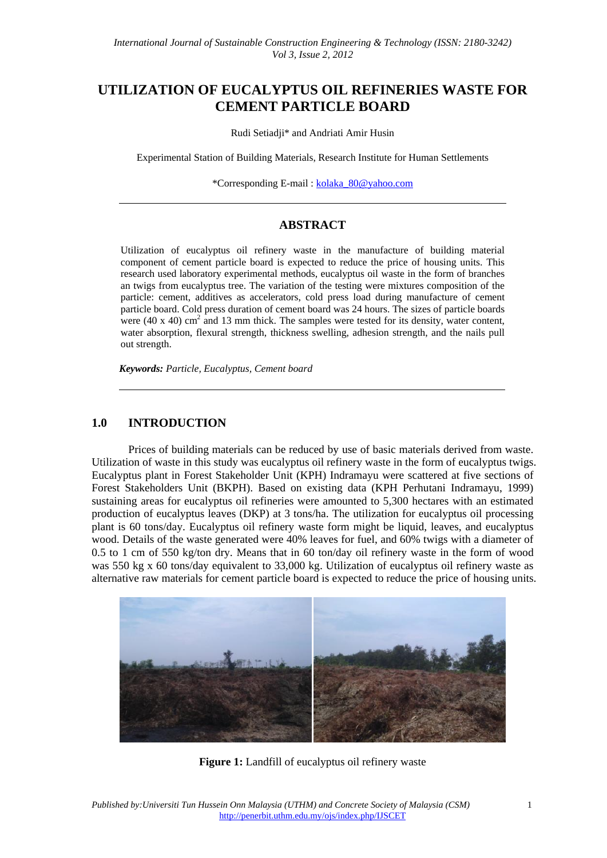# **UTILIZATION OF EUCALYPTUS OIL REFINERIES WASTE FOR CEMENT PARTICLE BOARD**

Rudi Setiadji\* and Andriati Amir Husin

Experimental Station of Building Materials, Research Institute for Human Settlements

\*Corresponding E-mail : kolaka\_80@yahoo.com

# **ABSTRACT**

Utilization of eucalyptus oil refinery waste in the manufacture of building material component of cement particle board is expected to reduce the price of housing units. This research used laboratory experimental methods, eucalyptus oil waste in the form of branches an twigs from eucalyptus tree. The variation of the testing were mixtures composition of the particle: cement, additives as accelerators, cold press load during manufacture of cement particle board. Cold press duration of cement board was 24 hours. The sizes of particle boards were (40 x 40) cm<sup>2</sup> and 13 mm thick. The samples were tested for its density, water content, water absorption, flexural strength, thickness swelling, adhesion strength, and the nails pull out strength.

*Keywords: Particle, Eucalyptus, Cement board*

#### **1.0 INTRODUCTION**

Prices of building materials can be reduced by use of basic materials derived from waste. Utilization of waste in this study was eucalyptus oil refinery waste in the form of eucalyptus twigs. Eucalyptus plant in Forest Stakeholder Unit (KPH) Indramayu were scattered at five sections of Forest Stakeholders Unit (BKPH). Based on existing data (KPH Perhutani Indramayu, 1999) sustaining areas for eucalyptus oil refineries were amounted to 5,300 hectares with an estimated production of eucalyptus leaves (DKP) at 3 tons/ha. The utilization for eucalyptus oil processing plant is 60 tons/day. Eucalyptus oil refinery waste form might be liquid, leaves, and eucalyptus wood. Details of the waste generated were 40% leaves for fuel, and 60% twigs with a diameter of 0.5 to 1 cm of 550 kg/ton dry. Means that in 60 ton/day oil refinery waste in the form of wood was 550 kg x 60 tons/day equivalent to 33,000 kg. Utilization of eucalyptus oil refinery waste as alternative raw materials for cement particle board is expected to reduce the price of housing units.



**Figure 1:** Landfill of eucalyptus oil refinery waste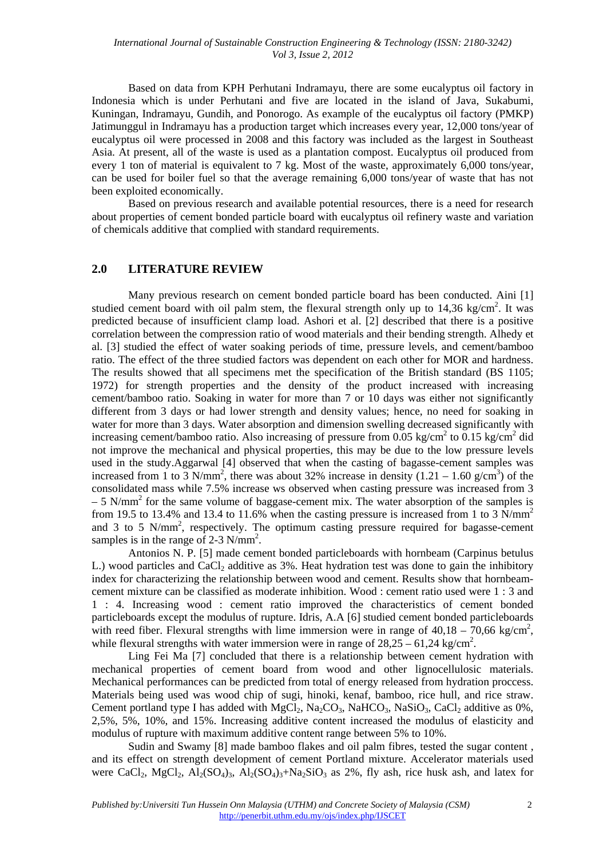Based on data from KPH Perhutani Indramayu, there are some eucalyptus oil factory in Indonesia which is under Perhutani and five are located in the island of Java, Sukabumi, Kuningan, Indramayu, Gundih, and Ponorogo. As example of the eucalyptus oil factory (PMKP) Jatimunggul in Indramayu has a production target which increases every year, 12,000 tons/year of eucalyptus oil were processed in 2008 and this factory was included as the largest in Southeast Asia. At present, all of the waste is used as a plantation compost. Eucalyptus oil produced from every 1 ton of material is equivalent to 7 kg. Most of the waste, approximately 6,000 tons/year, can be used for boiler fuel so that the average remaining 6,000 tons/year of waste that has not been exploited economically.

Based on previous research and available potential resources, there is a need for research about properties of cement bonded particle board with eucalyptus oil refinery waste and variation of chemicals additive that complied with standard requirements.

#### **2.0 LITERATURE REVIEW**

Many previous research on cement bonded particle board has been conducted. Aini [1] studied cement board with oil palm stem, the flexural strength only up to  $14,36$  kg/cm<sup>2</sup>. It was predicted because of insufficient clamp load. Ashori et al. [2] described that there is a positive correlation between the compression ratio of wood materials and their bending strength. Alhedy et al. [3] studied the effect of water soaking periods of time, pressure levels, and cement/bamboo ratio. The effect of the three studied factors was dependent on each other for MOR and hardness. The results showed that all specimens met the specification of the British standard (BS 1105; 1972) for strength properties and the density of the product increased with increasing cement/bamboo ratio. Soaking in water for more than 7 or 10 days was either not significantly different from 3 days or had lower strength and density values; hence, no need for soaking in water for more than 3 days. Water absorption and dimension swelling decreased significantly with increasing cement/bamboo ratio. Also increasing of pressure from 0.05 kg/cm<sup>2</sup> to 0.15 kg/cm<sup>2</sup> did not improve the mechanical and physical properties, this may be due to the low pressure levels used in the study.Aggarwal [4] observed that when the casting of bagasse-cement samples was increased from 1 to 3 N/mm<sup>2</sup>, there was about 32% increase in density  $(1.21 - 1.60 \text{ g/cm}^3)$  of the consolidated mass while 7.5% increase ws observed when casting pressure was increased from 3  $-5$  N/mm<sup>2</sup> for the same volume of baggase-cement mix. The water absorption of the samples is from 19.5 to 13.4% and 13.4 to 11.6% when the casting pressure is increased from 1 to 3 N/mm<sup>2</sup> and 3 to 5 N/mm<sup>2</sup>, respectively. The optimum casting pressure required for bagasse-cement samples is in the range of 2-3  $N/mm^2$ .

Antonios N. P. [5] made cement bonded particleboards with hornbeam (Carpinus betulus L.) wood particles and CaCl<sub>2</sub> additive as 3%. Heat hydration test was done to gain the inhibitory index for characterizing the relationship between wood and cement. Results show that hornbeamcement mixture can be classified as moderate inhibition. Wood : cement ratio used were 1 : 3 and 1 : 4. Increasing wood : cement ratio improved the characteristics of cement bonded particleboards except the modulus of rupture. Idris, A.A [6] studied cement bonded particleboards with reed fiber. Flexural strengths with lime immersion were in range of  $40,18 - 70,66$  kg/cm<sup>2</sup>, while flexural strengths with water immersion were in range of  $28,25 - 61,24$  kg/cm<sup>2</sup>.

Ling Fei Ma [7] concluded that there is a relationship between cement hydration with mechanical properties of cement board from wood and other lignocellulosic materials. Mechanical performances can be predicted from total of energy released from hydration proccess. Materials being used was wood chip of sugi, hinoki, kenaf, bamboo, rice hull, and rice straw. Cement portland type I has added with  $MgCl_2$ ,  $Na_2CO_3$ ,  $NaHCO_3$ ,  $NaSiO_3$ ,  $CaCl_2$  additive as 0%, 2,5%, 5%, 10%, and 15%. Increasing additive content increased the modulus of elasticity and modulus of rupture with maximum additive content range between 5% to 10%.

Sudin and Swamy [8] made bamboo flakes and oil palm fibres, tested the sugar content , and its effect on strength development of cement Portland mixture. Accelerator materials used were CaCl<sub>2</sub>, MgCl<sub>2</sub>, Al<sub>2</sub>(SO<sub>4</sub>)<sub>3</sub>, Al<sub>2</sub>(SO<sub>4</sub>)<sub>3</sub>+Na<sub>2</sub>SiO<sub>3</sub> as 2%, fly ash, rice husk ash, and latex for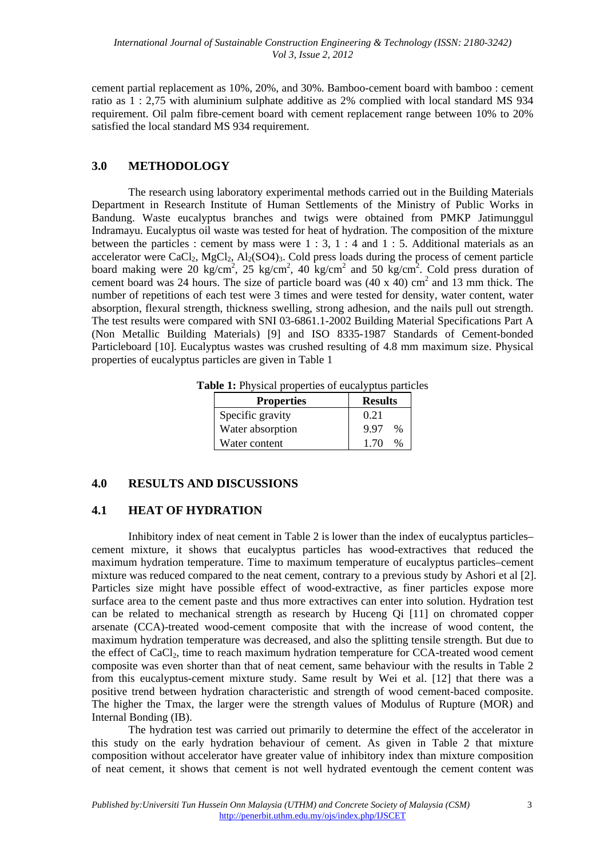cement partial replacement as 10%, 20%, and 30%. Bamboo-cement board with bamboo : cement ratio as 1 : 2,75 with aluminium sulphate additive as 2% complied with local standard MS 934 requirement. Oil palm fibre-cement board with cement replacement range between 10% to 20% satisfied the local standard MS 934 requirement.

### **3.0 METHODOLOGY**

The research using laboratory experimental methods carried out in the Building Materials Department in Research Institute of Human Settlements of the Ministry of Public Works in Bandung. Waste eucalyptus branches and twigs were obtained from PMKP Jatimunggul Indramayu. Eucalyptus oil waste was tested for heat of hydration. The composition of the mixture between the particles : cement by mass were  $1:3, 1:4$  and  $1:5$ . Additional materials as an accelerator were  $CaCl<sub>2</sub>$ ,  $MgCl<sub>2</sub>$ ,  $Al<sub>2</sub>(SO<sub>4</sub>)<sub>3</sub>$ . Cold press loads during the process of cement particle board making were 20 kg/cm<sup>2</sup>, 25 kg/cm<sup>2</sup>, 40 kg/cm<sup>2</sup> and 50 kg/cm<sup>2</sup>. Cold press duration of cement board was 24 hours. The size of particle board was  $(40 \times 40)$  cm<sup>2</sup> and 13 mm thick. The number of repetitions of each test were 3 times and were tested for density, water content, water absorption, flexural strength, thickness swelling, strong adhesion, and the nails pull out strength. The test results were compared with SNI 03-6861.1-2002 Building Material Specifications Part A (Non Metallic Building Materials) [9] and ISO 8335-1987 Standards of Cement-bonded Particleboard [10]. Eucalyptus wastes was crushed resulting of 4.8 mm maximum size. Physical properties of eucalyptus particles are given in Table 1

| <b>Table 1:</b> Physical properties of eucalyptus particles |
|-------------------------------------------------------------|
|-------------------------------------------------------------|

| <b>Properties</b> | <b>Results</b> |  |
|-------------------|----------------|--|
| Specific gravity  | 0.21           |  |
| Water absorption  | 9.97<br>$\%$   |  |
| Water content     | 1.70           |  |

### **4.0 RESULTS AND DISCUSSIONS**

### **4.1 HEAT OF HYDRATION**

Inhibitory index of neat cement in Table 2 is lower than the index of eucalyptus particles– cement mixture, it shows that eucalyptus particles has wood-extractives that reduced the maximum hydration temperature. Time to maximum temperature of eucalyptus particles–cement mixture was reduced compared to the neat cement, contrary to a previous study by Ashori et al [2]. Particles size might have possible effect of wood-extractive, as finer particles expose more surface area to the cement paste and thus more extractives can enter into solution. Hydration test can be related to mechanical strength as research by Huceng Qi [11] on chromated copper arsenate (CCA)-treated wood-cement composite that with the increase of wood content, the maximum hydration temperature was decreased, and also the splitting tensile strength. But due to the effect of CaCl<sub>2</sub>, time to reach maximum hydration temperature for CCA-treated wood cement composite was even shorter than that of neat cement, same behaviour with the results in Table 2 from this eucalyptus-cement mixture study. Same result by Wei et al. [12] that there was a positive trend between hydration characteristic and strength of wood cement-baced composite. The higher the Tmax, the larger were the strength values of Modulus of Rupture (MOR) and Internal Bonding (IB).

The hydration test was carried out primarily to determine the effect of the accelerator in this study on the early hydration behaviour of cement. As given in Table 2 that mixture composition without accelerator have greater value of inhibitory index than mixture composition of neat cement, it shows that cement is not well hydrated eventough the cement content was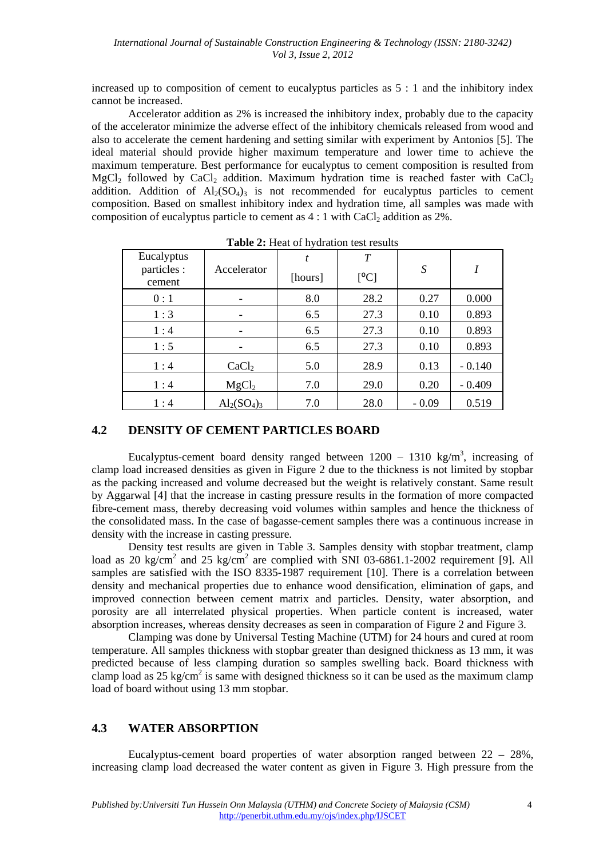increased up to composition of cement to eucalyptus particles as 5 : 1 and the inhibitory index cannot be increased.

Accelerator addition as 2% is increased the inhibitory index, probably due to the capacity of the accelerator minimize the adverse effect of the inhibitory chemicals released from wood and also to accelerate the cement hardening and setting similar with experiment by Antonios [5]. The ideal material should provide higher maximum temperature and lower time to achieve the maximum temperature. Best performance for eucalyptus to cement composition is resulted from MgCl<sub>2</sub> followed by CaCl<sub>2</sub> addition. Maximum hydration time is reached faster with CaCl<sub>2</sub> addition. Addition of  $Al_2(SO_4)$ <sup>3</sup> is not recommended for eucalyptus particles to cement composition. Based on smallest inhibitory index and hydration time, all samples was made with composition of eucalyptus particle to cement as  $4:1$  with CaCl<sub>2</sub> addition as  $2\%$ .

| Eucalyptus<br>particles :<br>cement | Accelerator       | t<br>[hours] | T<br>[°C] | S       |          |
|-------------------------------------|-------------------|--------------|-----------|---------|----------|
| 0:1                                 |                   | 8.0          | 28.2      | 0.27    | 0.000    |
| 1:3                                 |                   | 6.5          | 27.3      | 0.10    | 0.893    |
| 1:4                                 | -                 | 6.5          | 27.3      | 0.10    | 0.893    |
| 1:5                                 |                   | 6.5          | 27.3      | 0.10    | 0.893    |
| 1:4                                 | CaCl <sub>2</sub> | 5.0          | 28.9      | 0.13    | $-0.140$ |
| 1:4                                 | MgCl <sub>2</sub> | 7.0          | 29.0      | 0.20    | $-0.409$ |
| 1:4                                 | $Al_2(SO_4)_3$    | 7.0          | 28.0      | $-0.09$ | 0.519    |

**Table 2:** Heat of hydration test results

### **4.2 DENSITY OF CEMENT PARTICLES BOARD**

Eucalyptus-cement board density ranged between  $1200 - 1310 \text{ kg/m}^3$ , increasing of clamp load increased densities as given in Figure 2 due to the thickness is not limited by stopbar as the packing increased and volume decreased but the weight is relatively constant. Same result by Aggarwal [4] that the increase in casting pressure results in the formation of more compacted fibre-cement mass, thereby decreasing void volumes within samples and hence the thickness of the consolidated mass. In the case of bagasse-cement samples there was a continuous increase in density with the increase in casting pressure.

Density test results are given in Table 3. Samples density with stopbar treatment, clamp load as 20 kg/cm<sup>2</sup> and 25 kg/cm<sup>2</sup> are complied with SNI 03-6861.1-2002 requirement [9]. All samples are satisfied with the ISO 8335-1987 requirement [10]. There is a correlation between density and mechanical properties due to enhance wood densification, elimination of gaps, and improved connection between cement matrix and particles. Density, water absorption, and porosity are all interrelated physical properties. When particle content is increased, water absorption increases, whereas density decreases as seen in comparation of Figure 2 and Figure 3.

Clamping was done by Universal Testing Machine (UTM) for 24 hours and cured at room temperature. All samples thickness with stopbar greater than designed thickness as 13 mm, it was predicted because of less clamping duration so samples swelling back. Board thickness with clamp load as  $25 \text{ kg/cm}^2$  is same with designed thickness so it can be used as the maximum clamp load of board without using 13 mm stopbar.

### **4.3 WATER ABSORPTION**

Eucalyptus-cement board properties of water absorption ranged between  $22 - 28\%$ . increasing clamp load decreased the water content as given in Figure 3. High pressure from the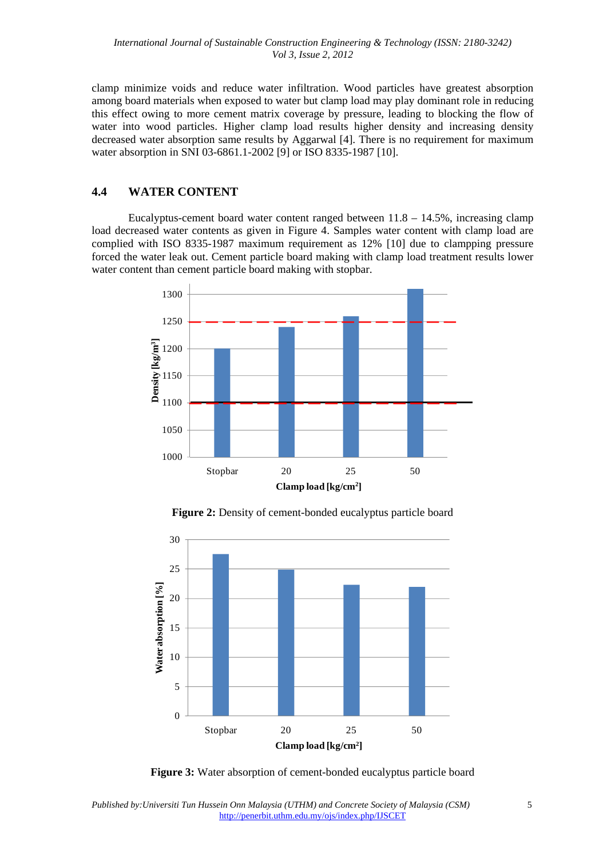*International Journal of Sustainable Construction Engineering & Technology (ISSN: 2180-3242) Vol 3, Issue 2, 2012* 

clamp minimize voids and reduce water infiltration. Wood particles have greatest absorption among board materials when exposed to water but clamp load may play dominant role in reducing this effect owing to more cement matrix coverage by pressure, leading to blocking the flow of water into wood particles. Higher clamp load results higher density and increasing density decreased water absorption same results by Aggarwal [4]. There is no requirement for maximum water absorption in SNI 03-6861.1-2002 [9] or ISO 8335-1987 [10].

### **4.4 WATER CONTENT**

Eucalyptus-cement board water content ranged between  $11.8 - 14.5\%$ , increasing clamp load decreased water contents as given in Figure 4. Samples water content with clamp load are complied with ISO 8335-1987 maximum requirement as 12% [10] due to clampping pressure forced the water leak out. Cement particle board making with clamp load treatment results lower water content than cement particle board making with stopbar.



**Figure 2:** Density of cement-bonded eucalyptus particle board



**Figure 3:** Water absorption of cement-bonded eucalyptus particle board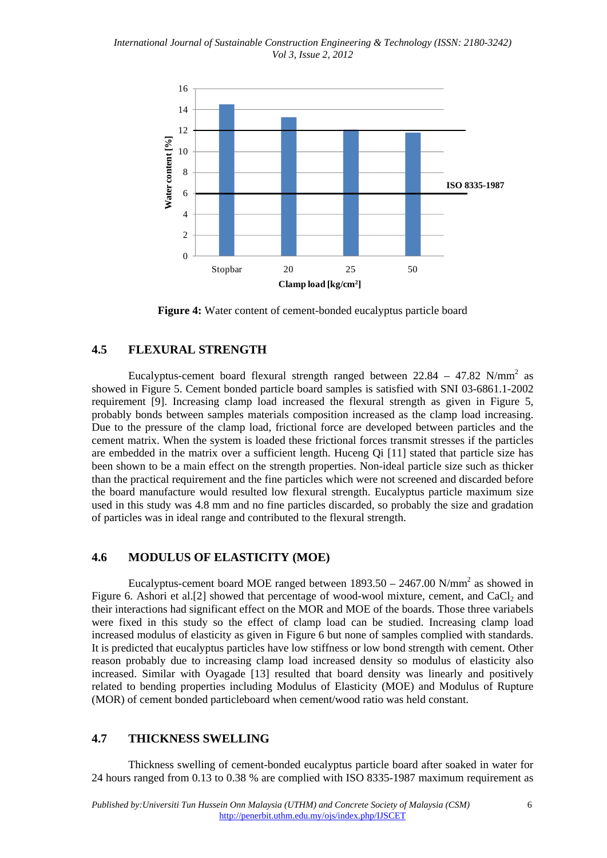*International Journal of Sustainable Construction Engineering & Technology (ISSN: 2180-3242) Vol 3, Issue 2, 2012* 



**Figure 4:** Water content of cement-bonded eucalyptus particle board

#### **4.5 FLEXURAL STRENGTH**

Eucalyptus-cement board flexural strength ranged between  $22.84 - 47.82$  N/mm<sup>2</sup> as showed in Figure 5. Cement bonded particle board samples is satisfied with SNI 03-6861.1-2002 requirement [9]. Increasing clamp load increased the flexural strength as given in Figure 5, probably bonds between samples materials composition increased as the clamp load increasing. Due to the pressure of the clamp load, frictional force are developed between particles and the cement matrix. When the system is loaded these frictional forces transmit stresses if the particles are embedded in the matrix over a sufficient length. Huceng Qi [11] stated that particle size has been shown to be a main effect on the strength properties. Non-ideal particle size such as thicker than the practical requirement and the fine particles which were not screened and discarded before the board manufacture would resulted low flexural strength. Eucalyptus particle maximum size used in this study was 4.8 mm and no fine particles discarded, so probably the size and gradation of particles was in ideal range and contributed to the flexural strength.

# **4.6 MODULUS OF ELASTICITY (MOE)**

Eucalyptus-cement board MOE ranged between  $1893.50 - 2467.00$  N/mm<sup>2</sup> as showed in Figure 6. Ashori et al. [2] showed that percentage of wood-wool mixture, cement, and  $CaCl<sub>2</sub>$  and their interactions had significant effect on the MOR and MOE of the boards. Those three variabels were fixed in this study so the effect of clamp load can be studied. Increasing clamp load increased modulus of elasticity as given in Figure 6 but none of samples complied with standards. It is predicted that eucalyptus particles have low stiffness or low bond strength with cement. Other reason probably due to increasing clamp load increased density so modulus of elasticity also increased. Similar with Oyagade [13] resulted that board density was linearly and positively related to bending properties including Modulus of Elasticity (MOE) and Modulus of Rupture (MOR) of cement bonded particleboard when cement/wood ratio was held constant.

#### **4.7 THICKNESS SWELLING**

Thickness swelling of cement-bonded eucalyptus particle board after soaked in water for 24 hours ranged from 0.13 to 0.38 % are complied with ISO 8335-1987 maximum requirement as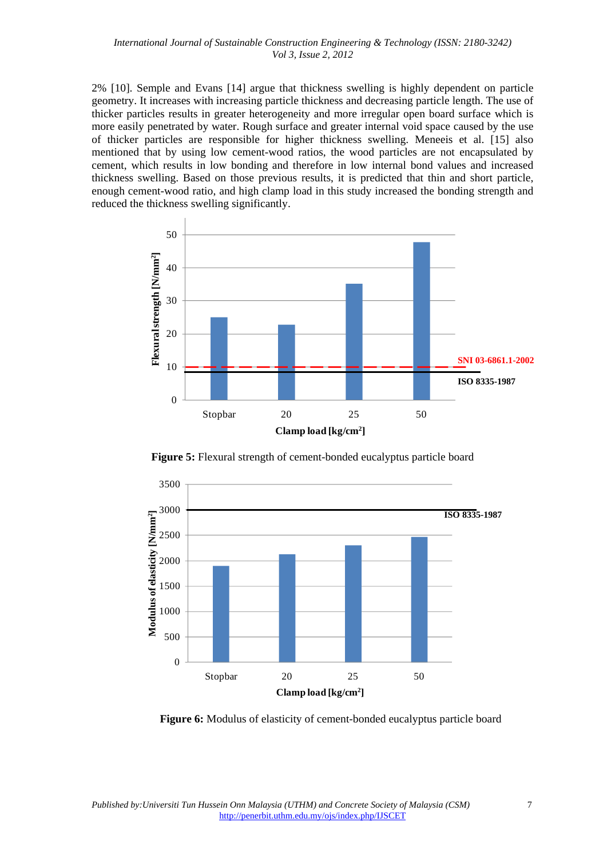2% [10]. Semple and Evans [14] argue that thickness swelling is highly dependent on particle geometry. It increases with increasing particle thickness and decreasing particle length. The use of thicker particles results in greater heterogeneity and more irregular open board surface which is more easily penetrated by water. Rough surface and greater internal void space caused by the use of thicker particles are responsible for higher thickness swelling. Meneeis et al. [15] also mentioned that by using low cement-wood ratios, the wood particles are not encapsulated by cement, which results in low bonding and therefore in low internal bond values and increased thickness swelling. Based on those previous results, it is predicted that thin and short particle, enough cement-wood ratio, and high clamp load in this study increased the bonding strength and reduced the thickness swelling significantly.



**Figure 5:** Flexural strength of cement-bonded eucalyptus particle board



**Figure 6:** Modulus of elasticity of cement-bonded eucalyptus particle board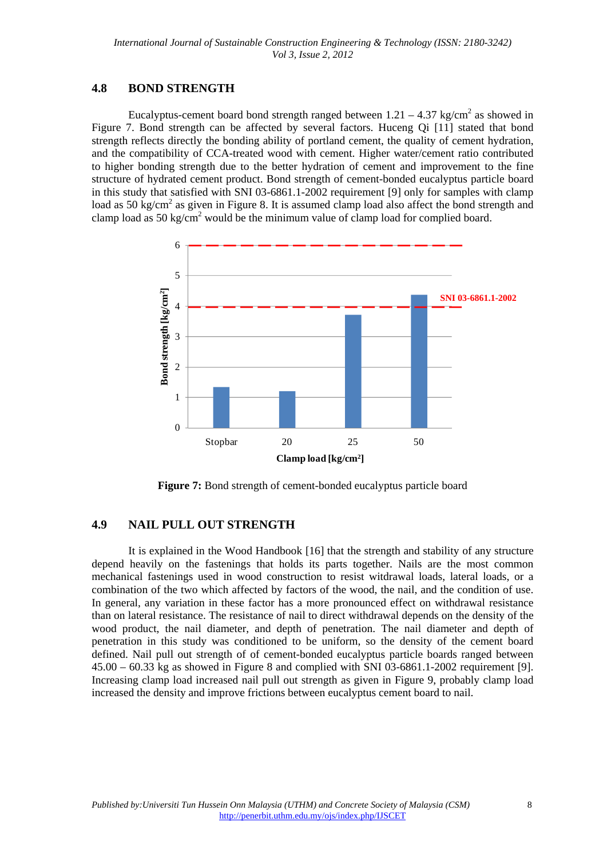# **4.8 BOND STRENGTH**

Eucalyptus-cement board bond strength ranged between  $1.21 - 4.37$  kg/cm<sup>2</sup> as showed in Figure 7. Bond strength can be affected by several factors. Huceng Qi [11] stated that bond strength reflects directly the bonding ability of portland cement, the quality of cement hydration, and the compatibility of CCA-treated wood with cement. Higher water/cement ratio contributed to higher bonding strength due to the better hydration of cement and improvement to the fine structure of hydrated cement product. Bond strength of cement-bonded eucalyptus particle board in this study that satisfied with SNI 03-6861.1-2002 requirement [9] only for samples with clamp load as 50 kg/cm<sup>2</sup> as given in Figure 8. It is assumed clamp load also affect the bond strength and clamp load as  $50 \text{ kg/cm}^2$  would be the minimum value of clamp load for complied board.



**Figure 7:** Bond strength of cement-bonded eucalyptus particle board

# **4.9 NAIL PULL OUT STRENGTH**

It is explained in the Wood Handbook [16] that the strength and stability of any structure depend heavily on the fastenings that holds its parts together. Nails are the most common mechanical fastenings used in wood construction to resist witdrawal loads, lateral loads, or a combination of the two which affected by factors of the wood, the nail, and the condition of use. In general, any variation in these factor has a more pronounced effect on withdrawal resistance than on lateral resistance. The resistance of nail to direct withdrawal depends on the density of the wood product, the nail diameter, and depth of penetration. The nail diameter and depth of penetration in this study was conditioned to be uniform, so the density of the cement board defined. Nail pull out strength of of cement-bonded eucalyptus particle boards ranged between  $45.00 - 60.33$  kg as showed in Figure 8 and complied with SNI 03-6861.1-2002 requirement [9]. Increasing clamp load increased nail pull out strength as given in Figure 9, probably clamp load increased the density and improve frictions between eucalyptus cement board to nail.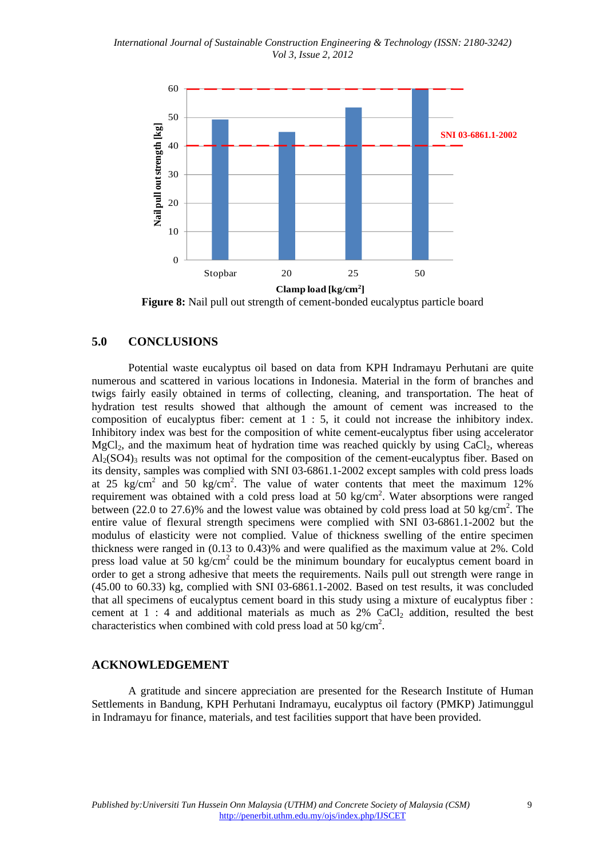*International Journal of Sustainable Construction Engineering & Technology (ISSN: 2180-3242) Vol 3, Issue 2, 2012* 



**Figure 8:** Nail pull out strength of cement-bonded eucalyptus particle board

#### **5.0 CONCLUSIONS**

Potential waste eucalyptus oil based on data from KPH Indramayu Perhutani are quite numerous and scattered in various locations in Indonesia. Material in the form of branches and twigs fairly easily obtained in terms of collecting, cleaning, and transportation. The heat of hydration test results showed that although the amount of cement was increased to the composition of eucalyptus fiber: cement at  $1 : 5$ , it could not increase the inhibitory index. Inhibitory index was best for the composition of white cement-eucalyptus fiber using accelerator  $MgCl<sub>2</sub>$ , and the maximum heat of hydration time was reached quickly by using CaCl<sub>2</sub>, whereas  $Al<sub>2</sub>(SO4)$ <sub>3</sub> results was not optimal for the composition of the cement-eucalyptus fiber. Based on its density, samples was complied with SNI 03-6861.1-2002 except samples with cold press loads at 25 kg/cm<sup>2</sup> and 50 kg/cm<sup>2</sup>. The value of water contents that meet the maximum 12% requirement was obtained with a cold press load at 50 kg/cm<sup>2</sup>. Water absorptions were ranged between (22.0 to 27.6)% and the lowest value was obtained by cold press load at 50 kg/cm<sup>2</sup>. The entire value of flexural strength specimens were complied with SNI 03-6861.1-2002 but the modulus of elasticity were not complied. Value of thickness swelling of the entire specimen thickness were ranged in (0.13 to 0.43)% and were qualified as the maximum value at 2%. Cold press load value at 50 kg/cm<sup>2</sup> could be the minimum boundary for eucalyptus cement board in order to get a strong adhesive that meets the requirements. Nails pull out strength were range in (45.00 to 60.33) kg, complied with SNI 03-6861.1-2002. Based on test results, it was concluded that all specimens of eucalyptus cement board in this study using a mixture of eucalyptus fiber : cement at  $1:4$  and additional materials as much as  $2\%$  CaCl<sub>2</sub> addition, resulted the best characteristics when combined with cold press load at 50 kg/cm<sup>2</sup>.

#### **ACKNOWLEDGEMENT**

A gratitude and sincere appreciation are presented for the Research Institute of Human Settlements in Bandung, KPH Perhutani Indramayu, eucalyptus oil factory (PMKP) Jatimunggul in Indramayu for finance, materials, and test facilities support that have been provided.